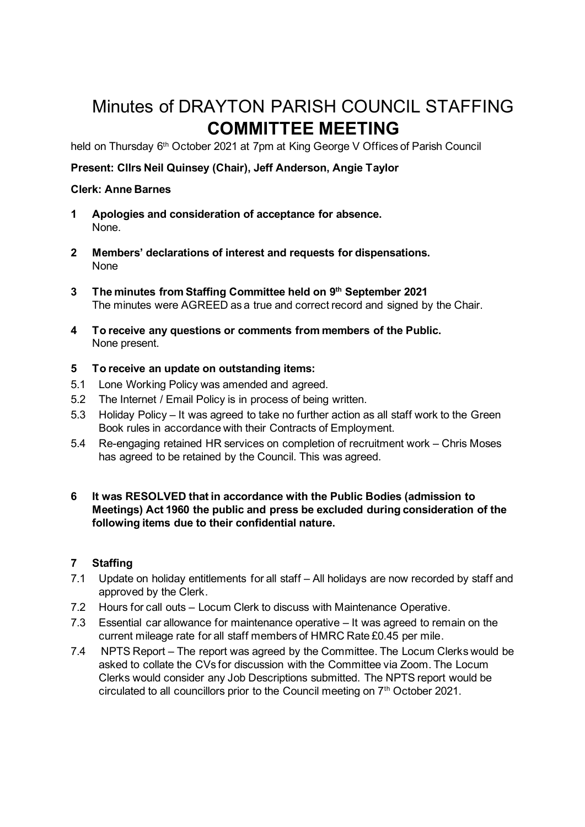# Minutes of DRAYTON PARISH COUNCIL STAFFING **COMMITTEE MEETING**

held on Thursday 6<sup>th</sup> October 2021 at 7pm at King George V Offices of Parish Council

## **Present: Cllrs Neil Quinsey (Chair), Jeff Anderson, Angie Taylor**

#### **Clerk: Anne Barnes**

- **1 Apologies and consideration of acceptance for absence.**  None.
- **2 Members' declarations of interest and requests for dispensations.**  None
- **3 The minutes from Staffing Committee held on 9 th September 2021** The minutes were AGREED as a true and correct record and signed by the Chair.
- **4 To receive any questions or comments from members of the Public.**  None present.

#### **5 To receive an update on outstanding items:**

- 5.1 Lone Working Policy was amended and agreed.
- 5.2 The Internet / Email Policy is in process of being written.
- 5.3 Holiday Policy It was agreed to take no further action as all staff work to the Green Book rules in accordance with their Contracts of Employment.
- 5.4 Re-engaging retained HR services on completion of recruitment work Chris Moses has agreed to be retained by the Council. This was agreed.

#### **6 It was RESOLVED that in accordance with the Public Bodies (admission to Meetings) Act 1960 the public and press be excluded during consideration of the following items due to their confidential nature.**

### **7 Staffing**

- 7.1 Update on holiday entitlements for all staff All holidays are now recorded by staff and approved by the Clerk.
- 7.2 Hours for call outs Locum Clerk to discuss with Maintenance Operative.
- 7.3 Essential car allowance for maintenance operative It was agreed to remain on the current mileage rate for all staff members of HMRC Rate £0.45 per mile.
- 7.4 NPTS Report The report was agreed by the Committee. The Locum Clerks would be asked to collate the CVs for discussion with the Committee via Zoom. The Locum Clerks would consider any Job Descriptions submitted. The NPTS report would be circulated to all councillors prior to the Council meeting on 7<sup>th</sup> October 2021.